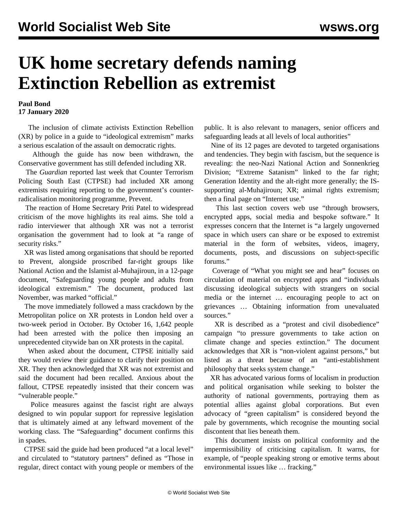## **UK home secretary defends naming Extinction Rebellion as extremist**

## **Paul Bond 17 January 2020**

 The inclusion of climate activists Extinction Rebellion (XR) by police in a guide to "ideological extremism" marks a serious escalation of the assault on democratic rights.

 Although the guide has now been withdrawn, the Conservative government has still defended including XR.

 The *Guardian* reported last week that Counter Terrorism Policing South East (CTPSE) had included XR among extremists requiring reporting to the government's counterradicalisation monitoring programme, Prevent.

 The reaction of Home Secretary Priti Patel to widespread criticism of the move highlights its real aims. She told a radio interviewer that although XR was not a terrorist organisation the government had to look at "a range of security risks."

 XR was listed among organisations that should be reported to Prevent, alongside proscribed far-right groups like National Action and the Islamist al-Muhajiroun, in a 12-page document, "Safeguarding young people and adults from ideological extremism." The document, produced last November, was marked "official."

 The move immediately followed a mass crackdown by the Metropolitan police on XR protests in London held over a two-week period in October. By October 16, 1,642 people had been arrested with the police then imposing an [unprecedented citywide ban](/en/articles/2019/10/16/exti-o16) on XR protests in the capital.

 When asked about the document, CTPSE initially said they would review their guidance to clarify their position on XR. They then acknowledged that XR was not extremist and said the document had been recalled. Anxious about the fallout, CTPSE repeatedly insisted that their concern was "vulnerable people."

 Police measures against the fascist right are always designed to win popular support for repressive legislation that is ultimately aimed at any leftward movement of the working class. The "Safeguarding" document confirms this in spades.

 CTPSE said the guide had been produced "at a local level" and circulated to "statutory partners" defined as "Those in regular, direct contact with young people or members of the public. It is also relevant to managers, senior officers and safeguarding leads at all levels of local authorities"

 Nine of its 12 pages are devoted to targeted organisations and tendencies. They begin with fascism, but the sequence is revealing: the neo-Nazi National Action and Sonnenkrieg Division; "Extreme Satanism" linked to the far right; Generation Identity and the alt-right more generally; the ISsupporting al-Muhajiroun; XR; animal rights extremism; then a final page on "Internet use."

 This last section covers web use "through browsers, encrypted apps, social media and bespoke software." It expresses concern that the Internet is "a largely ungoverned space in which users can share or be exposed to extremist material in the form of websites, videos, imagery, documents, posts, and discussions on subject-specific forums."

 Coverage of "What you might see and hear" focuses on circulation of material on encrypted apps and "individuals discussing ideological subjects with strangers on social media or the internet … encouraging people to act on grievances … Obtaining information from unevaluated sources."

 XR is described as a "protest and civil disobedience" campaign "to pressure governments to take action on climate change and species extinction." The document acknowledges that XR is "non-violent against persons," but listed as a threat because of an "anti-establishment philosophy that seeks system change."

 XR has advocated various forms of localism in production and political organisation while seeking to bolster the authority of national governments, portraying them as potential allies against global corporations. But even advocacy of "green capitalism" is considered beyond the pale by governments, which recognise the mounting social discontent that lies beneath them.

 This document insists on political conformity and the impermissibility of criticising capitalism. It warns, for example, of "people speaking strong or emotive terms about environmental issues like … fracking."